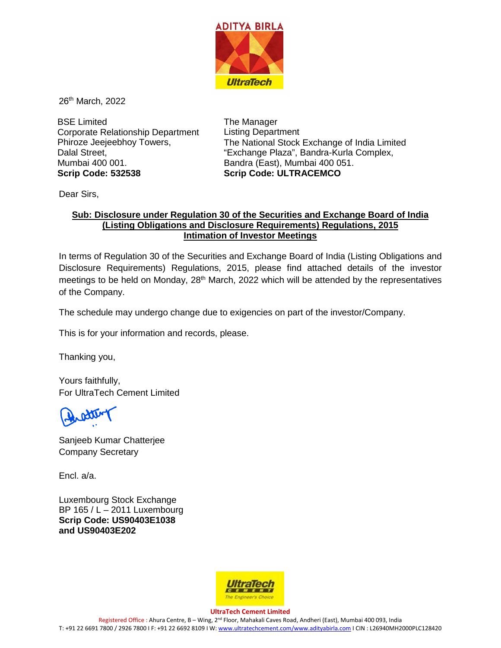

26<sup>th</sup> March, 2022

BSE Limited Corporate Relationship Department Phiroze Jeejeebhoy Towers, Dalal Street, Mumbai 400 001. **Scrip Code: 532538**

The Manager Listing Department The National Stock Exchange of India Limited "Exchange Plaza", Bandra-Kurla Complex, Bandra (East), Mumbai 400 051. **Scrip Code: ULTRACEMCO**

Dear Sirs,

## **Sub: Disclosure under Regulation 30 of the Securities and Exchange Board of India (Listing Obligations and Disclosure Requirements) Regulations, 2015 Intimation of Investor Meetings**

In terms of Regulation 30 of the Securities and Exchange Board of India (Listing Obligations and Disclosure Requirements) Regulations, 2015, please find attached details of the investor meetings to be held on Monday,  $28<sup>th</sup>$  March, 2022 which will be attended by the representatives of the Company.

The schedule may undergo change due to exigencies on part of the investor/Company.

This is for your information and records, please.

Thanking you,

Yours faithfully, For UltraTech Cement Limited

Sanjeeb Kumar Chatterjee Company Secretary

Encl. a/a.

Luxembourg Stock Exchange BP 165 / L – 2011 Luxembourg **Scrip Code: US90403E1038 and US90403E202**